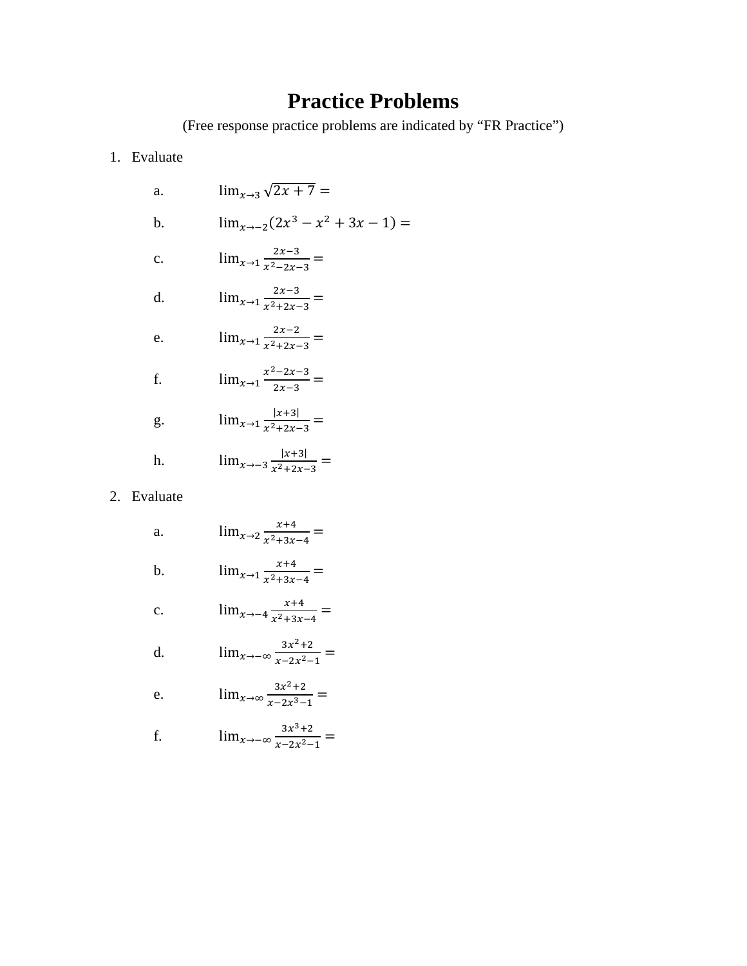# **Practice Problems**

(Free response practice problems are indicated by "FR Practice")

1. Evaluate

a. 
$$
\lim_{x\to 3} \sqrt{2x + 7} =
$$
  
\nb.  $\lim_{x\to -2} (2x^3 - x^2 + 3x - 1) =$   
\nc.  $\lim_{x\to 1} \frac{2x-3}{x^2 - 2x - 3} =$   
\nd.  $\lim_{x\to 1} \frac{2x-3}{x^2 + 2x - 3} =$   
\ne.  $\lim_{x\to 1} \frac{2x-2}{x^2 + 2x - 3} =$   
\nf.  $\lim_{x\to 1} \frac{x^2 - 2x - 3}{2x - 3} =$   
\ng.  $\lim_{x\to 1} \frac{|x+3|}{x^2 + 2x - 3} =$   
\nh.  $\lim_{x\to -3} \frac{|x+3|}{x^2 + 2x - 3} =$ 

#### 2. Evaluate

a.  $\lim_{x \to 2} \frac{x+4}{x^2+3x-4} =$ 

b. 
$$
\lim_{x \to 1} \frac{x+4}{x^2+3x-4} =
$$

c. 
$$
\lim_{x \to -4} \frac{x+4}{x^2+3x-4} =
$$

d. 
$$
\lim_{x \to -\infty} \frac{3x^2 + 2}{x - 2x^2 - 1} =
$$

e. 
$$
\lim_{x \to \infty} \frac{3x^2 + 2}{x - 2x^3 - 1} =
$$

f. 
$$
\lim_{x \to -\infty} \frac{3x^3 + 2}{x - 2x^2 - 1} =
$$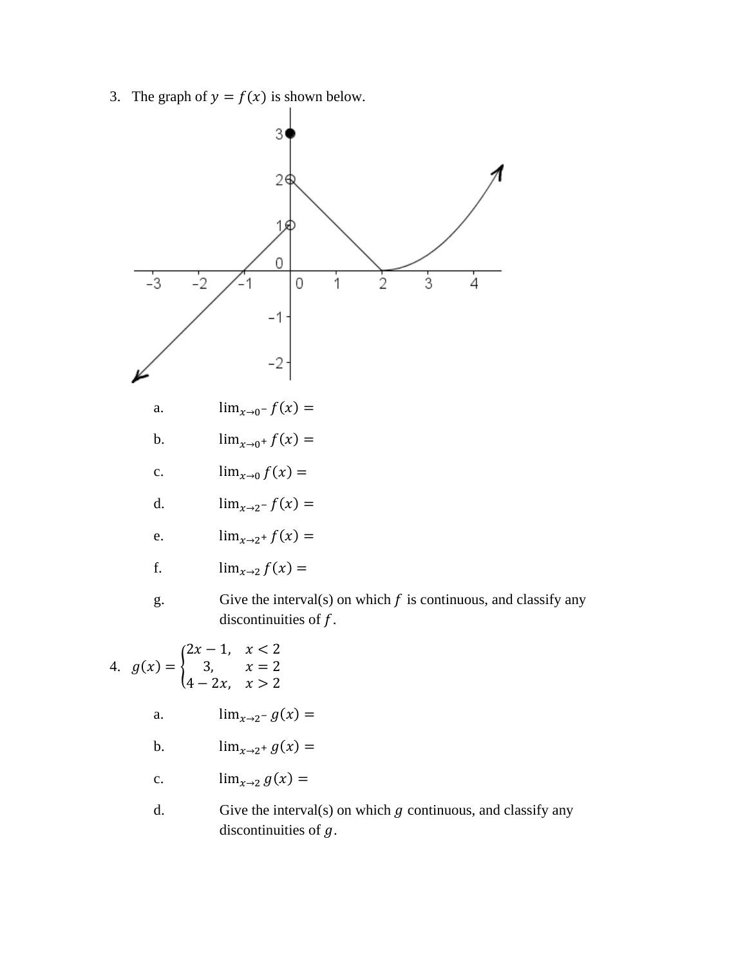3. The graph of  $y = f(x)$  is shown below.



- $\lim_{x\to 2^+} g(x) =$  $\mathbf b$ .
- $\lim_{x\to 2} g(x) =$  $\mathbf{c}$ .
- $d.$ Give the interval(s) on which  $g$  continuous, and classify any discontinuities of  $g$ .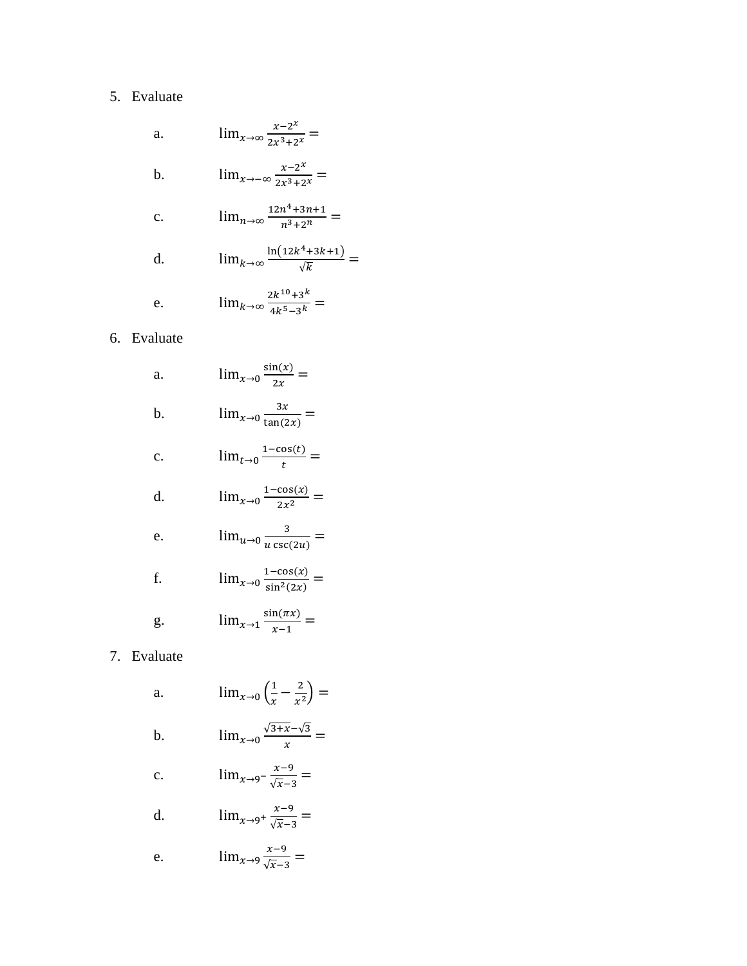### 5. Evaluate

a. 
$$
\lim_{x \to \infty} \frac{x - 2^x}{2x^3 + 2^x} =
$$
  
\nb.  $\lim_{x \to -\infty} \frac{x - 2^x}{2x^3 + 2^x} =$   
\nc.  $\lim_{n \to \infty} \frac{12n^4 + 3n + 1}{n^3 + 2^n} =$   
\nd.  $\lim_{k \to \infty} \frac{\ln(12k^4 + 3k + 1)}{\sqrt{k}}$   
\ne.  $\lim_{k \to \infty} \frac{2k^{10} + 3^k}{4k^5 - 3^k} =$ 

 $\equiv$ 

### 6. Evaluate

a. 
$$
\lim_{x\to 0} \frac{\sin(x)}{2x} =
$$
  
\nb. 
$$
\lim_{x\to 0} \frac{3x}{\tan(2x)} =
$$
  
\nc. 
$$
\lim_{t\to 0} \frac{1-\cos(t)}{t} =
$$
  
\nd. 
$$
\lim_{x\to 0} \frac{1-\cos(x)}{2x^2} =
$$
  
\ne. 
$$
\lim_{u\to 0} \frac{3}{u \csc(2u)} =
$$
  
\nf. 
$$
\lim_{x\to 0} \frac{1-\cos(x)}{\sin^2(2x)} =
$$
  
\ng. 
$$
\lim_{x\to 1} \frac{\sin(\pi x)}{x-1} =
$$

### 7. Evaluate

a. 
$$
\lim_{x \to 0} \left( \frac{1}{x} - \frac{2}{x^2} \right) =
$$
  
b. 
$$
\lim_{x \to 0} \frac{\sqrt{3 + x} - \sqrt{3}}{x} =
$$

c. 
$$
\lim_{x \to 9^{-}} \frac{x-9}{\sqrt{x}-3} =
$$

d. 
$$
\lim_{x \to 9^+} \frac{x-9}{\sqrt{x}-3} =
$$

e. 
$$
\lim_{x \to 9} \frac{x-9}{\sqrt{x}-3} =
$$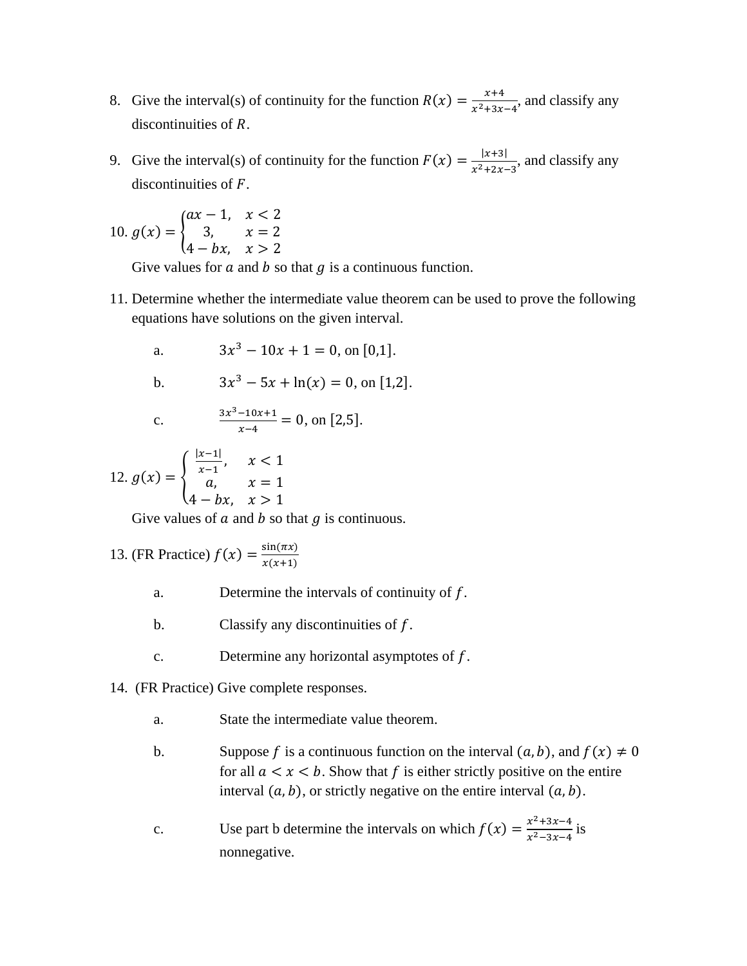- 8. Give the interval(s) of continuity for the function  $R(x) = \frac{x+4}{x^2+3x-4}$ , and classify any discontinuities of R.
- 9. Give the interval(s) of continuity for the function  $F(x) = \frac{|x+3|}{x^2+2x-3}$ , and classify any discontinuities of  $F$ .

10. 
$$
g(x) = \begin{cases} ax - 1, & x < 2 \\ 3, & x = 2 \\ 4 - bx, & x > 2 \end{cases}
$$

Give values for  $a$  and  $b$  so that  $q$  is a continuous function.

11. Determine whether the intermediate value theorem can be used to prove the following equations have solutions on the given interval.

a. 
$$
3x^3 - 10x + 1 = 0
$$
, on [0,1].

b. 
$$
3x^3 - 5x + \ln(x) = 0, \text{ on } [1,2].
$$

c. 
$$
\frac{3x^3 - 10x + 1}{x - 4} = 0, \text{ on } [2,5].
$$

12. 
$$
g(x) = \begin{cases} \frac{|x-1|}{x-1}, & x < 1 \\ a, & x = 1 \\ 4 - bx, & x > 1 \end{cases}
$$

Give values of  $a$  and  $b$  so that  $q$  is continuous.

13. (FR Practice) 
$$
f(x) = \frac{\sin(\pi x)}{x(x+1)}
$$

- a. Determine the intervals of continuity of  $f$ .
- b. Classify any discontinuities of  $f$ .
- c. Determine any horizontal asymptotes of  $f$ .
- 14. (FR Practice) Give complete responses.
	- a. State the intermediate value theorem.
	- b. Suppose f is a continuous function on the interval  $(a, b)$ , and  $f(x) \neq 0$ for all  $a < x < b$ . Show that f is either strictly positive on the entire interval  $(a, b)$ , or strictly negative on the entire interval  $(a, b)$ .
	- c. Use part b determine the intervals on which  $f(x) = \frac{x^2 + 3x 4}{x^2 3x 4}$  is nonnegative.